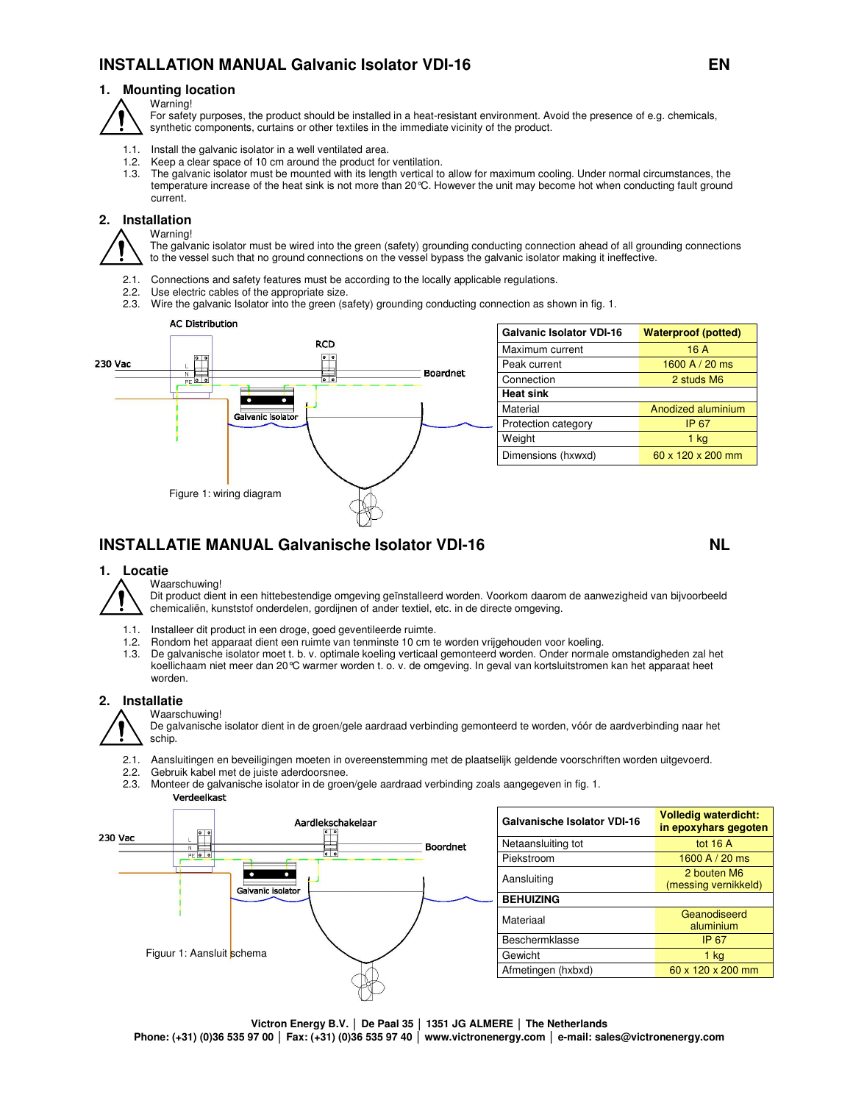## **INSTALLATION MANUAL Galvanic Isolator VDI-16 EN**

### **1. Mounting location**

Warning!

For safety purposes, the product should be installed in a heat-resistant environment. Avoid the presence of e.g. chemicals, synthetic components, curtains or other textiles in the immediate vicinity of the product.

- 1.1. Install the galvanic isolator in a well ventilated area.
- 1.2. Keep a clear space of 10 cm around the product for ventilation.
- 1.3. The galvanic isolator must be mounted with its length vertical to allow for maximum cooling. Under normal circumstances, the temperature increase of the heat sink is not more than 20°C. However the unit may become hot when conducting fault ground current.

### **2. Installation**

Warning!

The galvanic isolator must be wired into the green (safety) grounding conducting connection ahead of all grounding connections to the vessel such that no ground connections on the vessel bypass the galvanic isolator making it ineffective.

- 2.1. Connections and safety features must be according to the locally applicable regulations.
- 2.2. Use electric cables of the appropriate size.
- 2.3. Wire the galvanic Isolator into the green (safety) grounding conducting connection as shown in fig. 1.



| <b>Galvanic Isolator VDI-16</b> | <b>Waterproof (potted)</b> |
|---------------------------------|----------------------------|
| Maximum current                 | 16 A                       |
| Peak current                    | 1600 A $/$ 20 ms           |
| Connection                      | 2 studs M6                 |
| <b>Heat sink</b>                |                            |
| Material                        | Anodized aluminium         |
| Protection category             | <b>IP 67</b>               |
| Weight                          | $1$ kg                     |
| Dimensions (hxwxd)              | 60 x 120 x 200 mm          |

## **INSTALLATIE MANUAL Galvanische Isolator VDI-16** NUMBER 1997 NUMBER 1997 NUMBER 1997 NUMBER 1997 NUMBER 1997 NUMB

**in epoxyhars gegoten**

(messing vernikkeld)

### **1. Locatie**

Waarschuwing!

Dit product dient in een hittebestendige omgeving geïnstalleerd worden. Voorkom daarom de aanwezigheid van bijvoorbeeld chemicaliën, kunststof onderdelen, gordijnen of ander textiel, etc. in de directe omgeving.

- 1.1. Installeer dit product in een droge, goed geventileerde ruimte.
- 1.2. Rondom het apparaat dient een ruimte van tenminste 10 cm te worden vrijgehouden voor koeling.
- 1.3. De galvanische isolator moet t. b. v. optimale koeling verticaal gemonteerd worden. Onder normale omstandigheden zal het koellichaam niet meer dan 20°C warmer worden t. o. v. de omgeving. In geval van kortsluitstromen kan het apparaat heet worden.

### **2. Installatie**

Waarschuwing!

De galvanische isolator dient in de groen/gele aardraad verbinding gemonteerd te worden, vóór de aardverbinding naar het schip.

- 2.1. Aansluitingen en beveiligingen moeten in overeenstemming met de plaatselijk geldende voorschriften worden uitgevoerd.
- 2.2. Gebruik kabel met de juiste aderdoorsnee.
- 2.3. Monteer de galvanische isolator in de groen/gele aardraad verbinding zoals aangegeven in fig. 1.



|   | watu kai           | aluminium                     |
|---|--------------------|-------------------------------|
|   | Beschermklasse     | <b>IP 67</b>                  |
|   | Gewicht            | 1 ka                          |
|   | Afmetingen (hxbxd) | $60 \times 120 \times 200$ mm |
|   |                    |                               |
|   |                    |                               |
| . | $\sim$             |                               |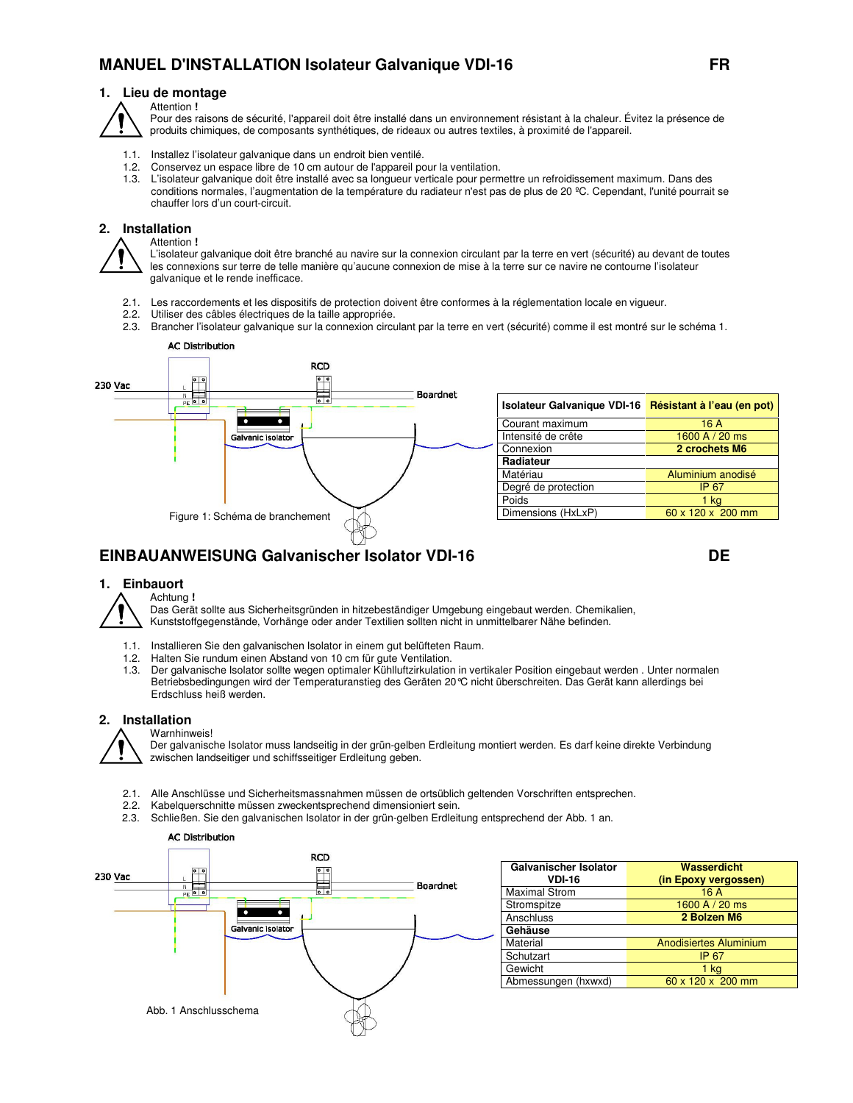#### **1. Lieu de montage**  Attention **!**

Pour des raisons de sécurité, l'appareil doit être installé dans un environnement résistant à la chaleur. Évitez la présence de produits chimiques, de composants synthétiques, de rideaux ou autres textiles, à proximité de l'appareil.

- 1.1. Installez l'isolateur galvanique dans un endroit bien ventilé.
- 1.2. Conservez un espace libre de 10 cm autour de l'appareil pour la ventilation.
- 1.3. L'isolateur galvanique doit être installé avec sa longueur verticale pour permettre un refroidissement maximum. Dans des conditions normales, l'augmentation de la température du radiateur n'est pas de plus de 20 °C. Cependant, l'unité pourrait se chauffer lors d'un court-circuit.

### **2. Installation**



L'isolateur galvanique doit être branché au navire sur la connexion circulant par la terre en vert (sécurité) au devant de toutes les connexions sur terre de telle manière qu'aucune connexion de mise à la terre sur ce navire ne contourne l'isolateur galvanique et le rende inefficace.

- 2.1. Les raccordements et les dispositifs de protection doivent être conformes à la réglementation locale en vigueur.
- 2.2. Utiliser des câbles électriques de la taille appropriée.
- 2.3. Brancher l'isolateur galvanique sur la connexion circulant par la terre en vert (sécurité) comme il est montré sur le schéma 1.



| Isolateur Galvanique VDI-16 Résistant à l'eau (en pot) |                               |  |
|--------------------------------------------------------|-------------------------------|--|
| Courant maximum                                        | 16 A                          |  |
| Intensité de crête                                     | 1600 A / 20 ms                |  |
| Connexion                                              | 2 crochets M6                 |  |
| Radiateur                                              |                               |  |
| Matériau                                               | Aluminium anodisé             |  |
| Degré de protection                                    | IP 67                         |  |
| Poids                                                  | 1 ka                          |  |
| Dimensions (HxLxP)                                     | $60 \times 120 \times 200$ mm |  |

## **EINBAUANWEISUNG Galvanischer Isolator VDI-16 DE**

# **1. Einbauort**

Achtung **!** Das Gerät sollte aus Sicherheitsgründen in hitzebeständiger Umgebung eingebaut werden. Chemikalien,

- Kunststoffgegenstände, Vorhänge oder ander Textilien sollten nicht in unmittelbarer Nähe befinden.
- 1.1. Installieren Sie den galvanischen Isolator in einem gut belüfteten Raum.
- 1.2. Halten Sie rundum einen Abstand von 10 cm für gute Ventilation.
- 1.3. Der galvanische Isolator sollte wegen optimaler Kühlluftzirkulation in vertikaler Position eingebaut werden . Unter normalen Betriebsbedingungen wird der Temperaturanstieg des Geräten 20°C nicht überschreiten. Das Gerät kann allerdings bei Erdschluss heiß werden.

### **2. Installation**



#### **Warnhinweis!**

Der galvanische Isolator muss landseitig in der grün-gelben Erdleitung montiert werden. Es darf keine direkte Verbindung zwischen landseitiger und schiffsseitiger Erdleitung geben.

- 2.1. Alle Anschlüsse und Sicherheitsmassnahmen müssen de ortsüblich geltenden Vorschriften entsprechen.
- 2.2. Kabelquerschnitte müssen zweckentsprechend dimensioniert sein.
- 2.3. Schließen. Sie den galvanischen Isolator in der grün-gelben Erdleitung entsprechend der Abb. 1 an.



| Galvanischer Isolator<br><b>VDI-16</b> | <b>Wasserdicht</b><br>(in Epoxy vergossen) |
|----------------------------------------|--------------------------------------------|
| <b>Maximal Strom</b>                   | 16 A                                       |
| Stromspitze                            | 1600 A / 20 ms                             |
| Anschluss                              | 2 Bolzen M6                                |
| Gehäuse                                |                                            |
| Material                               | <b>Anodisiertes Aluminium</b>              |
| Schutzart                              | IP 67                                      |
| Gewicht                                | $1$ kg                                     |
| Abmessungen (hxwxd)                    | 60 x 120 x 200 mm                          |